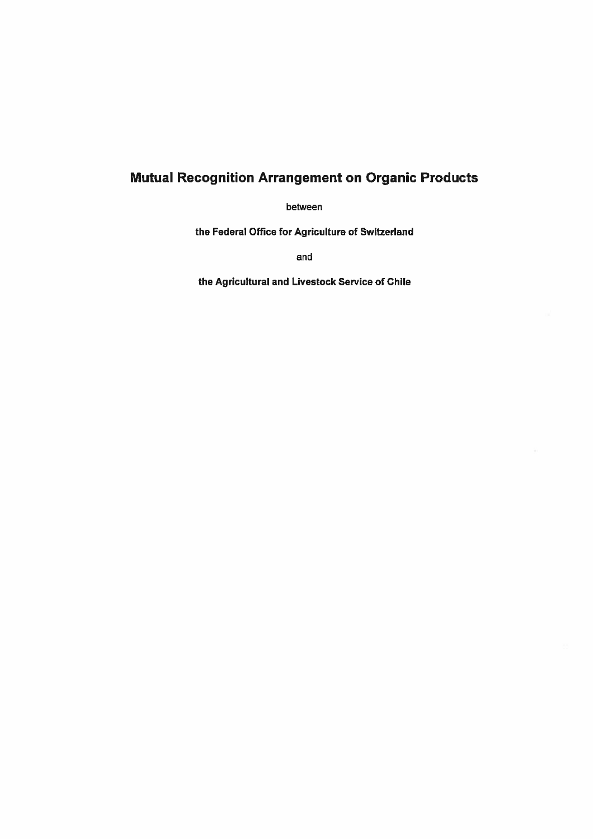# Mutual Recognition Arrangement on Organic Products

between

the Federal Office for Agriculture of Switzerland

and

the Agricultural and Livestock Service of Chile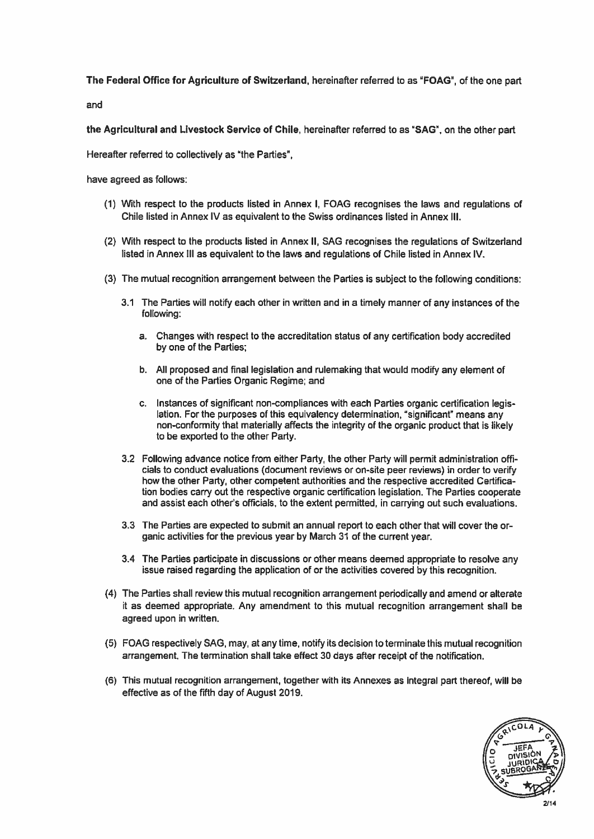### The Federal Office for Agriculture of Switzerland, hereinafter referred to as "FOAG", of the one par<sup>t</sup>

and

the Agricultural and Livestock Service of Chile, hereinafter referred to as "SAG", on the other par<sup>t</sup>

Hereafter referred to collectively as 'the Parties",

have agreed as follows:

- (1) With respec<sup>t</sup> to the products listed in Annex I, FOAG recognises the laws and regulations of Chile listed in Annex IV as equivalent to the Swiss ordinances listed in Annex Ill.
- (2) With respec<sup>t</sup> to the products listed in Annex II, SAG recognises the regulations of Switzerland listed in Annex Ill as equivalent to the laws and regulations of Chile listed in Annex IV.
- (3) The mutual recognition arrangemen<sup>t</sup> between the Parties is subject to the following conditions:
	- 3.1 The Parties will notify each other in written and in <sup>a</sup> timely manner of any instances of the following:
		- a. Changes with respec<sup>t</sup> to the accreditation status of any certification body accredited by one of the Parties;
		- b. All proposed and final legislation and rulemaking that would modify any element of one of the Parties Organic Regime; and
		- c. Instances of significant non-compliances with each Parties organic certification legis lation. For the purposes of this equivalency determination, 'significant" means any non-conformity that materially affects the integrity of the organic product that is likely to be exported to the other Party.
	- 3.2 Following advance notice from either Party, the other Party will permit administration offi cials to conduct evaluations (document reviews or on-site peer reviews) in order to verify how the other Party, other competent authorities and the respective accredited Certifica tion bodies carry out the respective organic certification legislation. The Parties cooperate and assist each other's officials, to the extent permitted, in carrying out such evaluations.
	- 3.3 The Parties are expected to submit an annual repor<sup>t</sup> to each other that will cover the or ganic activities for the previous year by March 31 of the current year.
	- 3.4 The Parties participate in discussions or other means deemed appropriate to resolve any issue raised regarding the application of or the activities covered by this recognition.
- (4) The Parties shall review this mutual recognition arrangemen<sup>t</sup> periodically and amend or alterate it as deemed appropriate. Any amendment to this mutual recognition arrangemen<sup>t</sup> shall be agreed upon in written.
- (5) FOAG respectively SAG, may, at anytime, notify its decision to terminate this mutual recognition arrangement. The termination shall take effect 30 days after receipt of the notification.
- (6) This mutual recognition arrangement, together with its Annexes as integral par<sup>t</sup> thereof, will be effective as of the fifth day of August 2019.

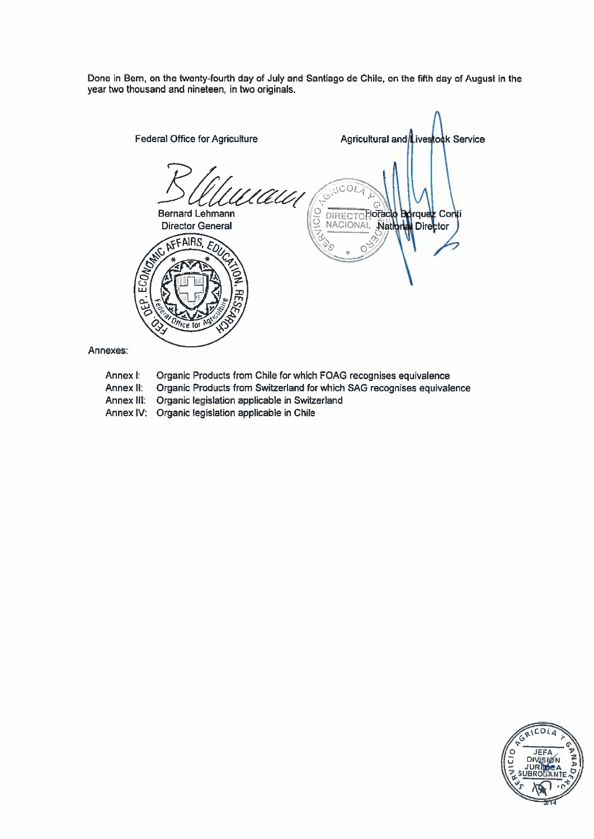Done in Bern, on the twenty-fourth day of July and Santiago de Chile, on the fifth day of August in the year two thousand and nineteen, in two originals.



Annexes:

- Organic Products from Chile for which FOAG recognises equivalence Annex I:
- Organic Products from Switzerland for which SAG recognises equivalence Annex II:
- Organic legislation applicable in Switzerland Annex Ill:
- Annex IV: Organic legislation applicable in Chile

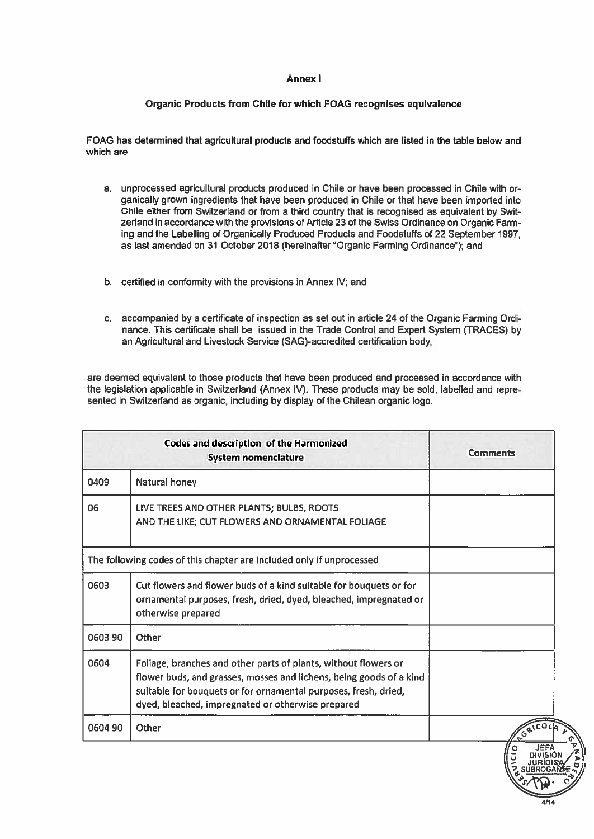#### Annex I

# Organic Products from Chile for which FOAG recognises equivalence

FOAG has determined that agricultural products and foodstuffs which are listed in the table below and which are

- a. unprocessed agricultural products produced in Chile or have been processed in Chile with or ganically grown ingredients that have been produced in Chile or that have been imported into Chile either from Switzerland or from <sup>a</sup> third country that is recognised as equivalent by Swit zerland in accordance with the provisions of Article 23 of the Swiss Ordinance on Organic Farm ing and the Labelling of Organically Produced Products and Foodstuffs of 22 September 1997, as last amended on 31 October 2018 (hereinafter "Organic Farming Ordinance"); and
- b. certified in conformity with the provisions in Annex IV; and
- c. accompanied by <sup>a</sup> certificate of inspection as set out in article 24 of the Organic Farming Ordi nance. This certificate shall be issued in the Trade Control and Expert System (TRACES) by an Agricultural and Livestock Service (SAG)-accredited certification body,

are deemed equivalent to those products that have been produced and processed in accordance with the legislation applicable in Switzerland (Annex IV). These products may be sold, labelled and repre sented in Switzerland as organic, including by display of the Chilean organic logo.

|         | <b>Codes and description of the Harmonized</b><br><b>System nomenclature</b>                                                                                                                                                                                   | <b>Comments</b> |
|---------|----------------------------------------------------------------------------------------------------------------------------------------------------------------------------------------------------------------------------------------------------------------|-----------------|
| 0409    | Natural honey                                                                                                                                                                                                                                                  |                 |
| 06      | LIVE TREES AND OTHER PLANTS; BULBS, ROOTS<br>AND THE LIKE; CUT FLOWERS AND ORNAMENTAL FOLIAGE                                                                                                                                                                  |                 |
|         | The following codes of this chapter are included only if unprocessed                                                                                                                                                                                           |                 |
| 0603    | Cut flowers and flower buds of a kind suitable for bouquets or for<br>ornamental purposes, fresh, dried, dyed, bleached, impregnated or<br>otherwise prepared                                                                                                  |                 |
| 060390  | Other                                                                                                                                                                                                                                                          |                 |
| 0604    | Foliage, branches and other parts of plants, without flowers or<br>flower buds, and grasses, mosses and lichens, being goods of a kind<br>suitable for bouquets or for ornamental purposes, fresh, dried,<br>dyed, bleached, impregnated or otherwise prepared |                 |
| 0604 90 | Other                                                                                                                                                                                                                                                          | GRICOL          |

C'

4/14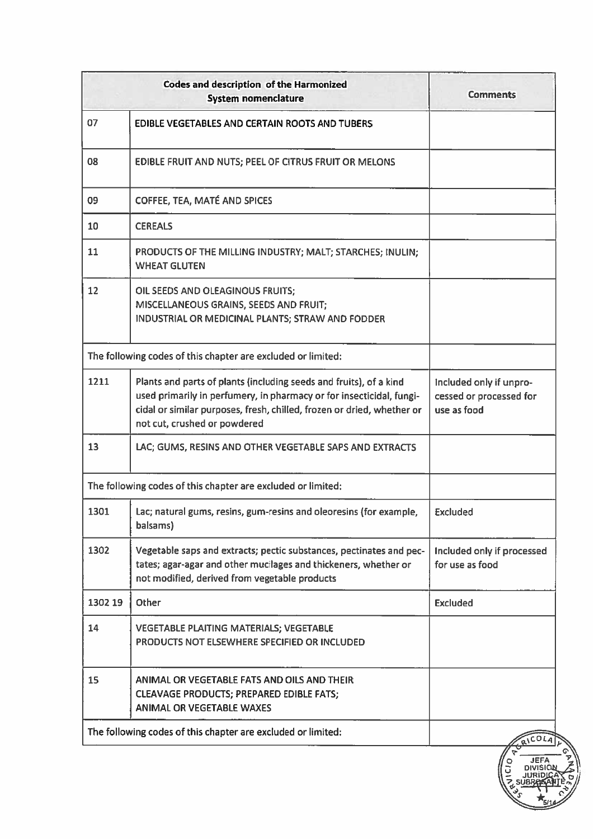|         | <b>Codes and description of the Harmonized</b><br><b>System nomenclature</b>                                                                                                                                                                         | <b>Comments</b>                                                   |
|---------|------------------------------------------------------------------------------------------------------------------------------------------------------------------------------------------------------------------------------------------------------|-------------------------------------------------------------------|
| 07      | <b>EDIBLE VEGETABLES AND CERTAIN ROOTS AND TUBERS</b>                                                                                                                                                                                                |                                                                   |
| 08      | EDIBLE FRUIT AND NUTS; PEEL OF CITRUS FRUIT OR MELONS                                                                                                                                                                                                |                                                                   |
| 09      | COFFEE, TEA, MATÉ AND SPICES                                                                                                                                                                                                                         |                                                                   |
| 10      | <b>CEREALS</b>                                                                                                                                                                                                                                       |                                                                   |
| 11      | PRODUCTS OF THE MILLING INDUSTRY; MALT; STARCHES; INULIN;<br><b>WHEAT GLUTEN</b>                                                                                                                                                                     |                                                                   |
| 12      | OIL SEEDS AND OLEAGINOUS FRUITS;<br>MISCELLANEOUS GRAINS, SEEDS AND FRUIT;<br>INDUSTRIAL OR MEDICINAL PLANTS; STRAW AND FODDER                                                                                                                       |                                                                   |
|         | The following codes of this chapter are excluded or limited:                                                                                                                                                                                         |                                                                   |
| 1211    | Plants and parts of plants (including seeds and fruits), of a kind<br>used primarily in perfumery, in pharmacy or for insecticidal, fungi-<br>cidal or similar purposes, fresh, chilled, frozen or dried, whether or<br>not cut, crushed or powdered | Included only if unpro-<br>cessed or processed for<br>use as food |
| 13      | LAC; GUMS, RESINS AND OTHER VEGETABLE SAPS AND EXTRACTS                                                                                                                                                                                              |                                                                   |
|         | The following codes of this chapter are excluded or limited:                                                                                                                                                                                         |                                                                   |
| 1301    | Lac; natural gums, resins, gum-resins and oleoresins (for example,<br>balsams)                                                                                                                                                                       | Excluded                                                          |
| 1302    | Vegetable saps and extracts; pectic substances, pectinates and pec-<br>tates; agar-agar and other mucilages and thickeners, whether or<br>not modified, derived from vegetable products                                                              | Included only if processed<br>for use as food                     |
| 1302 19 | Other                                                                                                                                                                                                                                                | <b>Excluded</b>                                                   |
| 14      | VEGETABLE PLAITING MATERIALS; VEGETABLE<br>PRODUCTS NOT ELSEWHERE SPECIFIED OR INCLUDED                                                                                                                                                              |                                                                   |
| 15      | ANIMAL OR VEGETABLE FATS AND OILS AND THEIR<br><b>CLEAVAGE PRODUCTS; PREPARED EDIBLE FATS;</b><br><b>ANIMAL OR VEGETABLE WAXES</b>                                                                                                                   |                                                                   |
|         | The following codes of this chapter are excluded or limited:                                                                                                                                                                                         | RICOL                                                             |

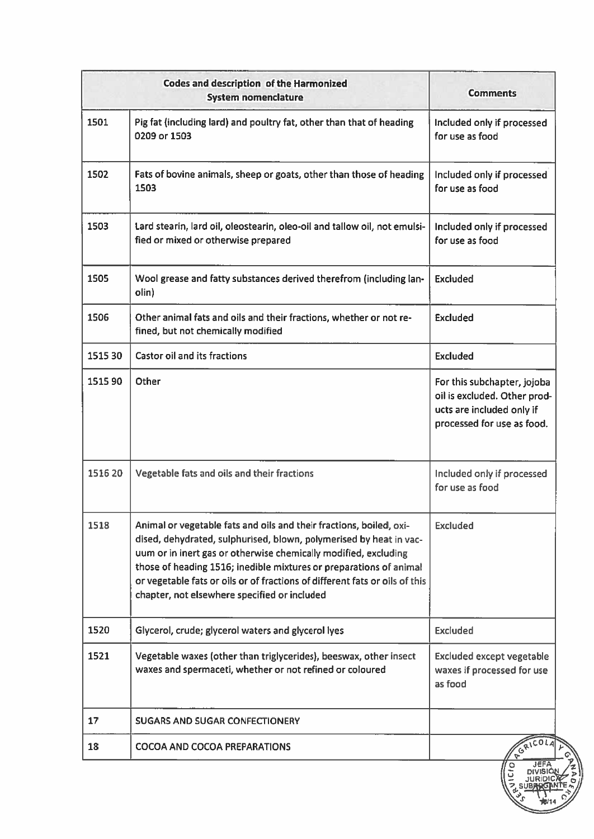|         | <b>Codes and description of the Harmonized</b><br><b>System nomenclature</b>                                                                                                                                                                                                                                                                                                                                      | <b>Comments</b>                                                                                                        |
|---------|-------------------------------------------------------------------------------------------------------------------------------------------------------------------------------------------------------------------------------------------------------------------------------------------------------------------------------------------------------------------------------------------------------------------|------------------------------------------------------------------------------------------------------------------------|
| 1501    | Pig fat (including lard) and poultry fat, other than that of heading<br>0209 or 1503                                                                                                                                                                                                                                                                                                                              | Included only if processed<br>for use as food                                                                          |
| 1502    | Fats of bovine animals, sheep or goats, other than those of heading<br>1503                                                                                                                                                                                                                                                                                                                                       | Included only if processed<br>for use as food                                                                          |
| 1503    | Lard stearin, lard oil, oleostearin, oleo-oil and tallow oil, not emulsi-<br>fied or mixed or otherwise prepared                                                                                                                                                                                                                                                                                                  | Included only if processed<br>for use as food                                                                          |
| 1505    | Wool grease and fatty substances derived therefrom (including lan-<br>olin)                                                                                                                                                                                                                                                                                                                                       | <b>Excluded</b>                                                                                                        |
| 1506    | Other animal fats and oils and their fractions, whether or not re-<br>fined, but not chemically modified                                                                                                                                                                                                                                                                                                          | Excluded                                                                                                               |
| 1515 30 | <b>Castor oil and its fractions</b>                                                                                                                                                                                                                                                                                                                                                                               | <b>Excluded</b>                                                                                                        |
| 1515 90 | Other                                                                                                                                                                                                                                                                                                                                                                                                             | For this subchapter, jojoba<br>oil is excluded. Other prod-<br>ucts are included only if<br>processed for use as food. |
| 1516 20 | Vegetable fats and oils and their fractions                                                                                                                                                                                                                                                                                                                                                                       | Included only if processed<br>for use as food                                                                          |
| 1518    | Animal or vegetable fats and oils and their fractions, boiled, oxi-<br>dised, dehydrated, sulphurised, blown, polymerised by heat in vac-<br>uum or in inert gas or otherwise chemically modified, excluding<br>those of heading 1516; inedible mixtures or preparations of animal<br>or vegetable fats or oils or of fractions of different fats or oils of this<br>chapter, not elsewhere specified or included | <b>Excluded</b>                                                                                                        |
| 1520    | Glycerol, crude; glycerol waters and glycerol lyes                                                                                                                                                                                                                                                                                                                                                                | <b>Excluded</b>                                                                                                        |
| 1521    | Vegetable waxes (other than triglycerides), beeswax, other insect<br>waxes and spermaceti, whether or not refined or coloured                                                                                                                                                                                                                                                                                     | <b>Excluded except vegetable</b><br>waxes if processed for use<br>as food                                              |
| 17      | <b>SUGARS AND SUGAR CONFECTIONERY</b>                                                                                                                                                                                                                                                                                                                                                                             |                                                                                                                        |
| 18      | <b>COCOA AND COCOA PREPARATIONS</b>                                                                                                                                                                                                                                                                                                                                                                               | <b>EGRICOLA</b>                                                                                                        |
|         |                                                                                                                                                                                                                                                                                                                                                                                                                   | JEFA<br>CIO                                                                                                            |

i<br>S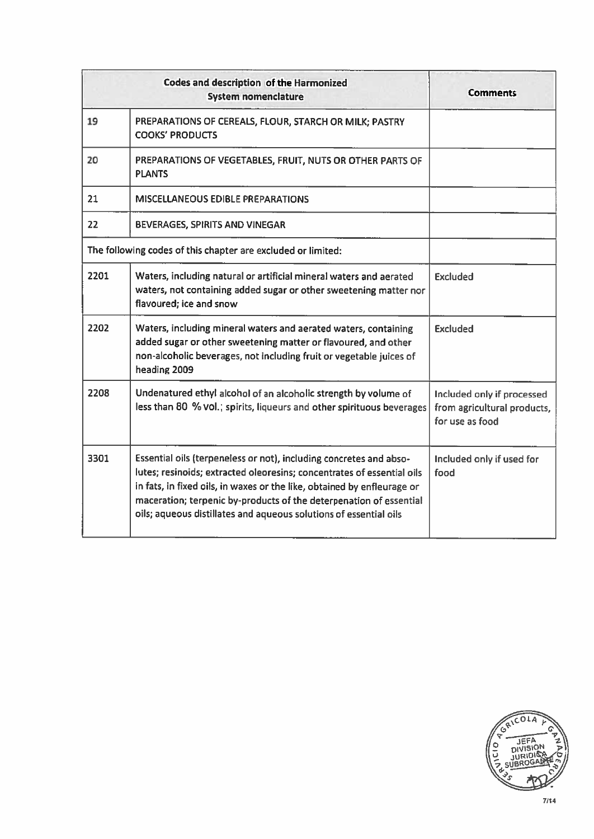|      | <b>Codes and description of the Harmonized</b><br><b>System nomenclature</b>                                                                                                                                                                                                                                                                                       | <b>Comments</b>                                                              |
|------|--------------------------------------------------------------------------------------------------------------------------------------------------------------------------------------------------------------------------------------------------------------------------------------------------------------------------------------------------------------------|------------------------------------------------------------------------------|
| 19   | PREPARATIONS OF CEREALS, FLOUR, STARCH OR MILK; PASTRY<br><b>COOKS' PRODUCTS</b>                                                                                                                                                                                                                                                                                   |                                                                              |
| 20   | PREPARATIONS OF VEGETABLES, FRUIT, NUTS OR OTHER PARTS OF<br><b>PLANTS</b>                                                                                                                                                                                                                                                                                         |                                                                              |
| 21   | <b>MISCELLANEOUS EDIBLE PREPARATIONS</b>                                                                                                                                                                                                                                                                                                                           |                                                                              |
| 22   | BEVERAGES, SPIRITS AND VINEGAR                                                                                                                                                                                                                                                                                                                                     |                                                                              |
|      | The following codes of this chapter are excluded or limited:                                                                                                                                                                                                                                                                                                       |                                                                              |
| 2201 | Waters, including natural or artificial mineral waters and aerated<br>waters, not containing added sugar or other sweetening matter nor<br>flavoured; ice and snow                                                                                                                                                                                                 | <b>Excluded</b>                                                              |
| 2202 | Waters, including mineral waters and aerated waters, containing<br>added sugar or other sweetening matter or flavoured, and other<br>non-alcoholic beverages, not including fruit or vegetable juices of<br>heading 2009                                                                                                                                           | <b>Excluded</b>                                                              |
| 2208 | Undenatured ethyl alcohol of an alcoholic strength by volume of<br>less than 80 % vol.; spirits, liqueurs and other spirituous beverages                                                                                                                                                                                                                           | Included only if processed<br>from agricultural products,<br>for use as food |
| 3301 | Essential oils (terpeneless or not), including concretes and abso-<br>lutes; resinoids; extracted oleoresins; concentrates of essential oils<br>in fats, in fixed oils, in waxes or the like, obtained by enfleurage or<br>maceration; terpenic by-products of the deterpenation of essential<br>oils; aqueous distillates and aqueous solutions of essential oils | Included only if used for<br>food                                            |

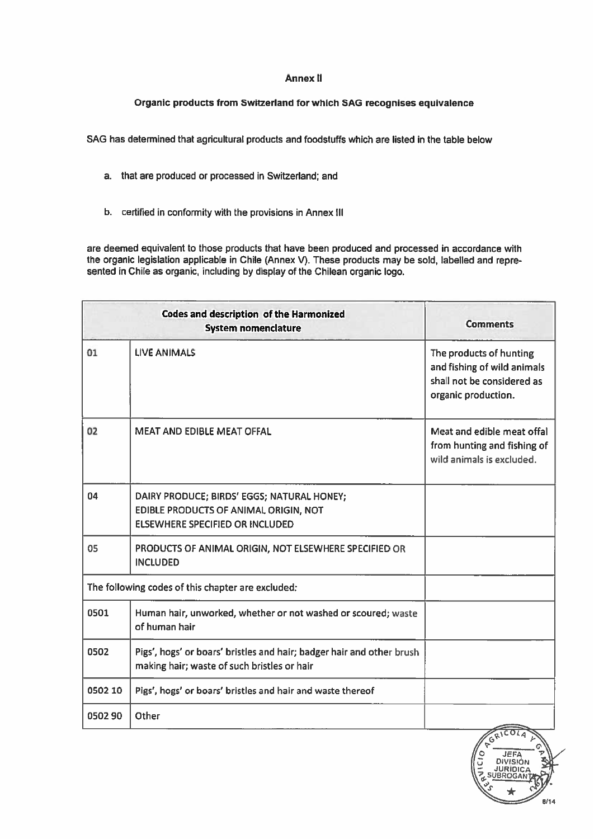### Annex II

# Organic products from Switzerland for which SAG recognises equivalence

SAG has determined that agricultural products and foodstuffs which are listed in the table below

- a. that are produced or processed in Switzerland; and
- b. certified in conformity with the provisions in Annex Ill

are deemed equivalent to those products that have been produced and processed in accordance with the organic legislation applicable in Chile (Annex V). These products may be sold, labelled and repre sented in Chile as organic, including by display of the Chilean organic logo.

|         | <b>Codes and description of the Harmonized</b><br><b>System nomenclature</b>                                                  | <b>Comments</b>                                                                                             |
|---------|-------------------------------------------------------------------------------------------------------------------------------|-------------------------------------------------------------------------------------------------------------|
| 01      | <b>LIVE ANIMALS</b>                                                                                                           | The products of hunting<br>and fishing of wild animals<br>shall not be considered as<br>organic production. |
| 02      | <b>MEAT AND EDIBLE MEAT OFFAL</b>                                                                                             | Meat and edible meat offal<br>from hunting and fishing of<br>wild animals is excluded.                      |
| 04      | DAIRY PRODUCE; BIRDS' EGGS; NATURAL HONEY;<br>EDIBLE PRODUCTS OF ANIMAL ORIGIN, NOT<br><b>ELSEWHERE SPECIFIED OR INCLUDED</b> |                                                                                                             |
| 05      | PRODUCTS OF ANIMAL ORIGIN, NOT ELSEWHERE SPECIFIED OR<br><b>INCLUDED</b>                                                      |                                                                                                             |
|         | The following codes of this chapter are excluded:                                                                             |                                                                                                             |
| 0501    | Human hair, unworked, whether or not washed or scoured; waste<br>of human hair                                                |                                                                                                             |
| 0502    | Pigs', hogs' or boars' bristles and hair; badger hair and other brush<br>making hair; waste of such bristles or hair          |                                                                                                             |
| 0502 10 | Pigs', hogs' or boars' bristles and hair and waste thereof                                                                    |                                                                                                             |
| 050290  | Other                                                                                                                         |                                                                                                             |

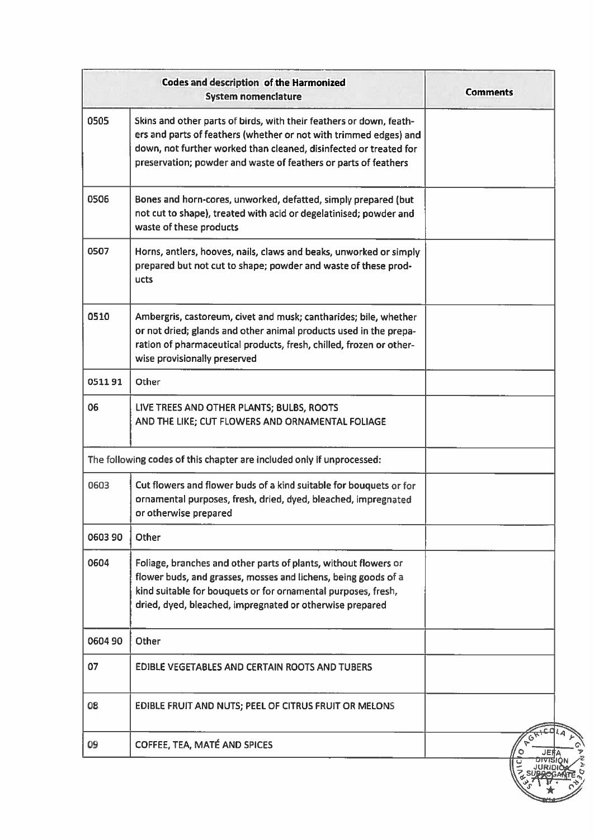| <b>Codes and description of the Harmonized</b><br><b>System nomenclature</b> |                                                                                                                                                                                                                                                                                  | <b>Comments</b> |
|------------------------------------------------------------------------------|----------------------------------------------------------------------------------------------------------------------------------------------------------------------------------------------------------------------------------------------------------------------------------|-----------------|
| 0505                                                                         | Skins and other parts of birds, with their feathers or down, feath-<br>ers and parts of feathers (whether or not with trimmed edges) and<br>down, not further worked than cleaned, disinfected or treated for<br>preservation; powder and waste of feathers or parts of feathers |                 |
| 0506                                                                         | Bones and horn-cores, unworked, defatted, simply prepared (but<br>not cut to shape), treated with acid or degelatinised; powder and<br>waste of these products                                                                                                                   |                 |
| 0507                                                                         | Horns, antlers, hooves, nails, claws and beaks, unworked or simply<br>prepared but not cut to shape; powder and waste of these prod-<br>ucts                                                                                                                                     |                 |
| 0510                                                                         | Ambergris, castoreum, civet and musk; cantharides; bile, whether<br>or not dried; glands and other animal products used in the prepa-<br>ration of pharmaceutical products, fresh, chilled, frozen or other-<br>wise provisionally preserved                                     |                 |
| 051191                                                                       | Other                                                                                                                                                                                                                                                                            |                 |
| 06                                                                           | LIVE TREES AND OTHER PLANTS; BULBS, ROOTS<br>AND THE LIKE; CUT FLOWERS AND ORNAMENTAL FOLIAGE                                                                                                                                                                                    |                 |
|                                                                              | The following codes of this chapter are included only if unprocessed:                                                                                                                                                                                                            |                 |
| 0603                                                                         | Cut flowers and flower buds of a kind suitable for bouquets or for<br>ornamental purposes, fresh, dried, dyed, bleached, impregnated<br>or otherwise prepared                                                                                                                    |                 |
| 060390                                                                       | Other                                                                                                                                                                                                                                                                            |                 |
| 0604                                                                         | Foliage, branches and other parts of plants, without flowers or<br>flower buds, and grasses, mosses and lichens, being goods of a<br>kind suitable for bouquets or for ornamental purposes, fresh,<br>dried, dyed, bleached, impregnated or otherwise prepared                   |                 |
| 060490                                                                       | Other                                                                                                                                                                                                                                                                            |                 |
| 07                                                                           | <b>EDIBLE VEGETABLES AND CERTAIN ROOTS AND TUBERS</b>                                                                                                                                                                                                                            |                 |
| 08                                                                           | EDIBLE FRUIT AND NUTS; PEEL OF CITRUS FRUIT OR MELONS                                                                                                                                                                                                                            |                 |
| 09                                                                           | COFFEE, TEA, MATÉ AND SPICES                                                                                                                                                                                                                                                     | ٥               |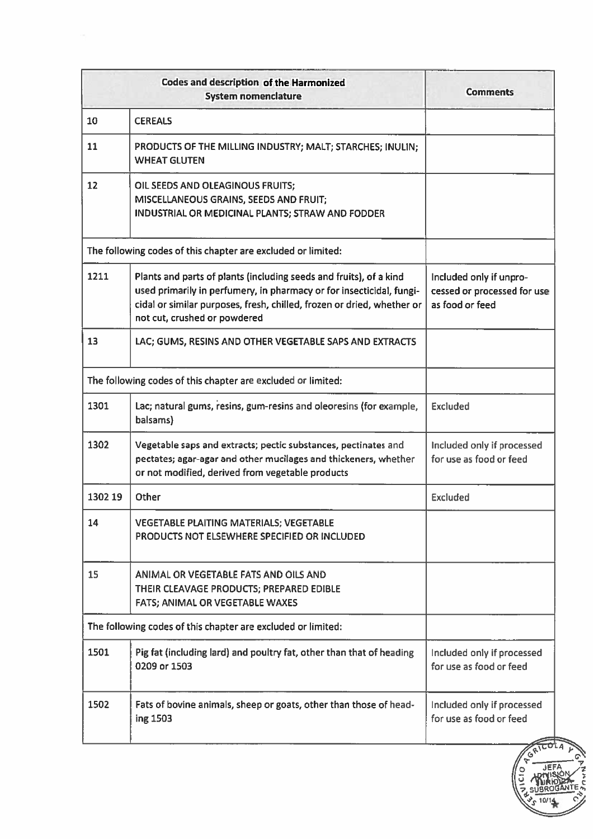| <b>Codes and description of the Harmonized</b><br><b>System nomenclature</b>                                                                                                                                                                         | Comments                                                                                                                                                                                     |
|------------------------------------------------------------------------------------------------------------------------------------------------------------------------------------------------------------------------------------------------------|----------------------------------------------------------------------------------------------------------------------------------------------------------------------------------------------|
| <b>CEREALS</b>                                                                                                                                                                                                                                       |                                                                                                                                                                                              |
| PRODUCTS OF THE MILLING INDUSTRY; MALT; STARCHES; INULIN;<br><b>WHEAT GLUTEN</b>                                                                                                                                                                     |                                                                                                                                                                                              |
| OIL SEEDS AND OLEAGINOUS FRUITS;<br>MISCELLANEOUS GRAINS, SEEDS AND FRUIT;<br>INDUSTRIAL OR MEDICINAL PLANTS; STRAW AND FODDER                                                                                                                       |                                                                                                                                                                                              |
|                                                                                                                                                                                                                                                      |                                                                                                                                                                                              |
| Plants and parts of plants (including seeds and fruits), of a kind<br>used primarily in perfumery, in pharmacy or for insecticidal, fungi-<br>cidal or similar purposes, fresh, chilled, frozen or dried, whether or<br>not cut, crushed or powdered | Included only if unpro-<br>cessed or processed for use<br>as food or feed                                                                                                                    |
| LAC; GUMS, RESINS AND OTHER VEGETABLE SAPS AND EXTRACTS                                                                                                                                                                                              |                                                                                                                                                                                              |
|                                                                                                                                                                                                                                                      |                                                                                                                                                                                              |
| Lac; natural gums, resins, gum-resins and oleoresins (for example,<br>balsams)                                                                                                                                                                       | <b>Excluded</b>                                                                                                                                                                              |
| Vegetable saps and extracts; pectic substances, pectinates and<br>pectates; agar-agar and other mucilages and thickeners, whether<br>or not modified, derived from vegetable products                                                                | Included only if processed<br>for use as food or feed                                                                                                                                        |
| Other                                                                                                                                                                                                                                                | <b>Excluded</b>                                                                                                                                                                              |
| VEGETABLE PLAITING MATERIALS; VEGETABLE<br>PRODUCTS NOT ELSEWHERE SPECIFIED OR INCLUDED                                                                                                                                                              |                                                                                                                                                                                              |
| ANIMAL OR VEGETABLE FATS AND OILS AND<br>THEIR CLEAVAGE PRODUCTS; PREPARED EDIBLE<br>FATS; ANIMAL OR VEGETABLE WAXES                                                                                                                                 |                                                                                                                                                                                              |
|                                                                                                                                                                                                                                                      |                                                                                                                                                                                              |
| Pig fat (including lard) and poultry fat, other than that of heading<br>0209 or 1503                                                                                                                                                                 | Included only if processed<br>for use as food or feed                                                                                                                                        |
| Fats of bovine animals, sheep or goats, other than those of head-<br>ing 1503                                                                                                                                                                        | Included only if processed<br>for use as food or feed                                                                                                                                        |
|                                                                                                                                                                                                                                                      | The following codes of this chapter are excluded or limited:<br>The following codes of this chapter are excluded or limited:<br>The following codes of this chapter are excluded or limited: |

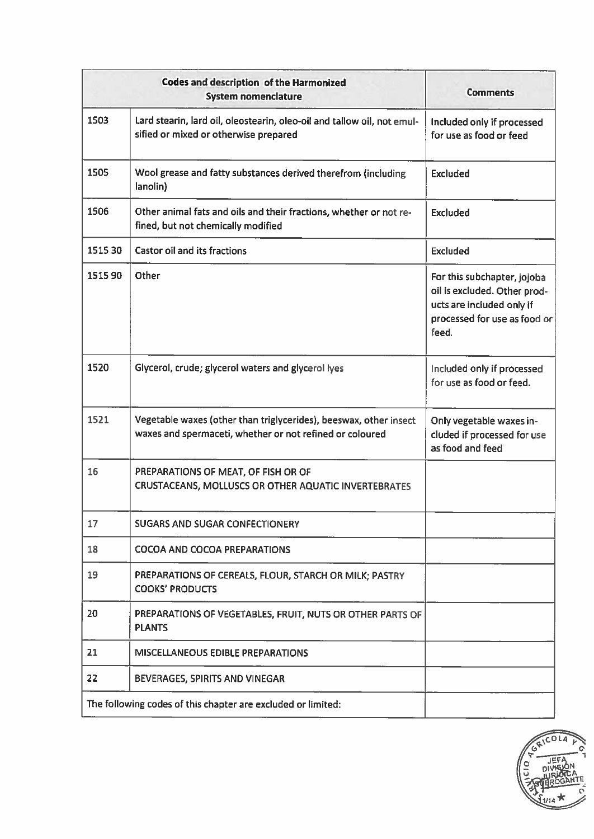|         | <b>Codes and description of the Harmonized</b><br><b>System nomenclature</b>                                                  | <b>Comments</b>                                                                                                                   |
|---------|-------------------------------------------------------------------------------------------------------------------------------|-----------------------------------------------------------------------------------------------------------------------------------|
| 1503    | Lard stearin, lard oil, oleostearin, oleo-oil and tallow oil, not emul-<br>sified or mixed or otherwise prepared              | Included only if processed<br>for use as food or feed                                                                             |
| 1505    | Wool grease and fatty substances derived therefrom (including<br>lanolin)                                                     | <b>Excluded</b>                                                                                                                   |
| 1506    | Other animal fats and oils and their fractions, whether or not re-<br>fined, but not chemically modified                      | <b>Excluded</b>                                                                                                                   |
| 1515 30 | <b>Castor oil and its fractions</b>                                                                                           | <b>Excluded</b>                                                                                                                   |
| 1515 90 | Other                                                                                                                         | For this subchapter, jojoba<br>oil is excluded. Other prod-<br>ucts are included only if<br>processed for use as food or<br>feed. |
| 1520    | Glycerol, crude; glycerol waters and glycerol lyes                                                                            | Included only if processed<br>for use as food or feed.                                                                            |
| 1521    | Vegetable waxes (other than triglycerides), beeswax, other insect<br>waxes and spermaceti, whether or not refined or coloured | Only vegetable waxes in-<br>cluded if processed for use<br>as food and feed                                                       |
| 16      | PREPARATIONS OF MEAT, OF FISH OR OF<br>CRUSTACEANS, MOLLUSCS OR OTHER AQUATIC INVERTEBRATES                                   |                                                                                                                                   |
| 17      | <b>SUGARS AND SUGAR CONFECTIONERY</b>                                                                                         |                                                                                                                                   |
| 18      | <b>COCOA AND COCOA PREPARATIONS</b>                                                                                           |                                                                                                                                   |
| 19      | PREPARATIONS OF CEREALS, FLOUR, STARCH OR MILK; PASTRY<br><b>COOKS' PRODUCTS</b>                                              |                                                                                                                                   |
| 20      | PREPARATIONS OF VEGETABLES, FRUIT, NUTS OR OTHER PARTS OF<br><b>PLANTS</b>                                                    |                                                                                                                                   |
| 21      | <b>MISCELLANEOUS EDIBLE PREPARATIONS</b>                                                                                      |                                                                                                                                   |
| 22      | BEVERAGES, SPIRITS AND VINEGAR                                                                                                |                                                                                                                                   |
|         | The following codes of this chapter are excluded or limited:                                                                  |                                                                                                                                   |

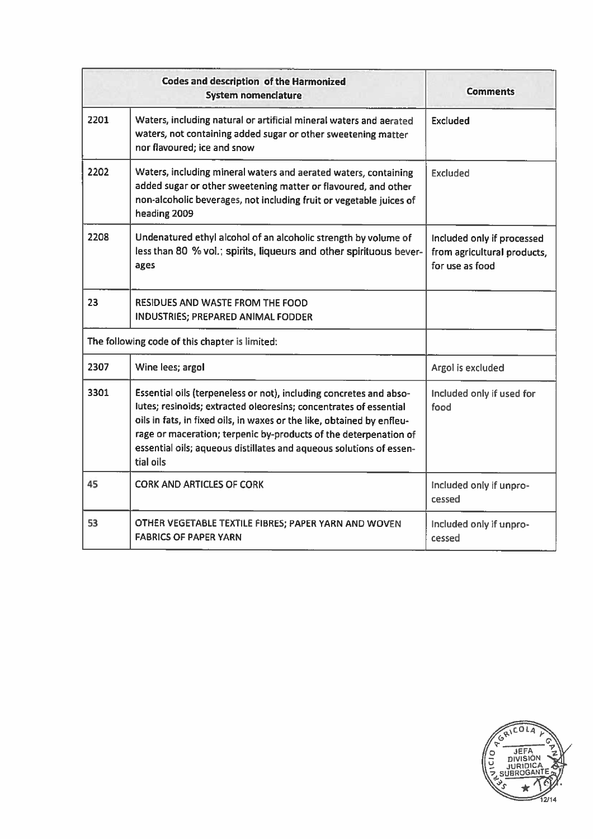|      | <b>Codes and description of the Harmonized</b><br><b>System nomenclature</b>                                                                                                                                                                                                                                                                                              | <b>Comments</b>                                                              |
|------|---------------------------------------------------------------------------------------------------------------------------------------------------------------------------------------------------------------------------------------------------------------------------------------------------------------------------------------------------------------------------|------------------------------------------------------------------------------|
| 2201 | Waters, including natural or artificial mineral waters and aerated<br>waters, not containing added sugar or other sweetening matter<br>nor flavoured; ice and snow                                                                                                                                                                                                        | Excluded                                                                     |
| 2202 | Waters, including mineral waters and aerated waters, containing<br>added sugar or other sweetening matter or flavoured, and other<br>non-alcoholic beverages, not including fruit or vegetable juices of<br>heading 2009                                                                                                                                                  | <b>Excluded</b>                                                              |
| 2208 | Undenatured ethyl alcohol of an alcoholic strength by volume of<br>less than 80 % vol.; spirits, liqueurs and other spirituous bever-<br>ages                                                                                                                                                                                                                             | Included only if processed<br>from agricultural products,<br>for use as food |
| 23   | <b>RESIDUES AND WASTE FROM THE FOOD</b><br>INDUSTRIES; PREPARED ANIMAL FODDER                                                                                                                                                                                                                                                                                             |                                                                              |
|      | The following code of this chapter is limited:                                                                                                                                                                                                                                                                                                                            |                                                                              |
| 2307 | Wine lees; argol                                                                                                                                                                                                                                                                                                                                                          | Argol is excluded                                                            |
| 3301 | Essential oils (terpeneless or not), including concretes and abso-<br>lutes; resinoids; extracted oleoresins; concentrates of essential<br>oils in fats, in fixed oils, in waxes or the like, obtained by enfleu-<br>rage or maceration; terpenic by-products of the deterpenation of<br>essential oils; aqueous distillates and aqueous solutions of essen-<br>tial oils | Included only if used for<br>food                                            |
| 45   | CORK AND ARTICLES OF CORK                                                                                                                                                                                                                                                                                                                                                 | Included only if unpro-<br>cessed                                            |
| 53   | OTHER VEGETABLE TEXTILE FIBRES; PAPER YARN AND WOVEN<br><b>FABRICS OF PAPER YARN</b>                                                                                                                                                                                                                                                                                      | Included only if unpro-<br>cessed                                            |

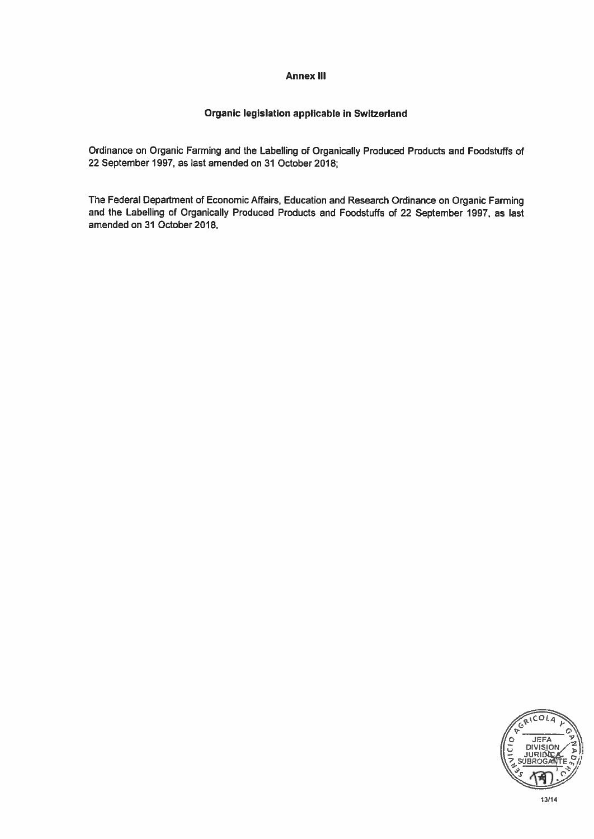## Annex Ill

# Organic legislation applicable in Switzerland

Ordinance on Organic Farming and the Labelling of Organically Produced Products and Foodstuffs of 22 September 1997, as last amended on 31 October 2018;

The Federal Department of Economic Affairs, Education and Research Ordinance on Organic Farming and the Labelling of Organically Produced Products and Foodstuffs of 22 September 1997, as last amended on 31 October 2018.